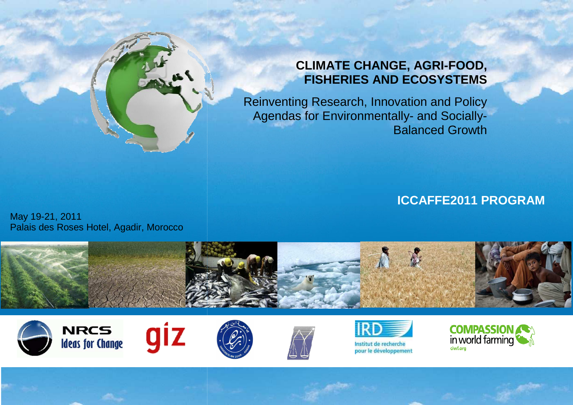

# **CLIMATE CHANGE, AGRIAGRI-FOOD, FISHERIES AND ECOSYSTEMS**

Reinventing Research, Innovation and Policy Agendas for Environmentally-and Socially-Balanced Growth

**ICCAFFE2011 PROGRAM**

May 19-21, 2011 Palais des Roses Hotel, Agadir, Morocco















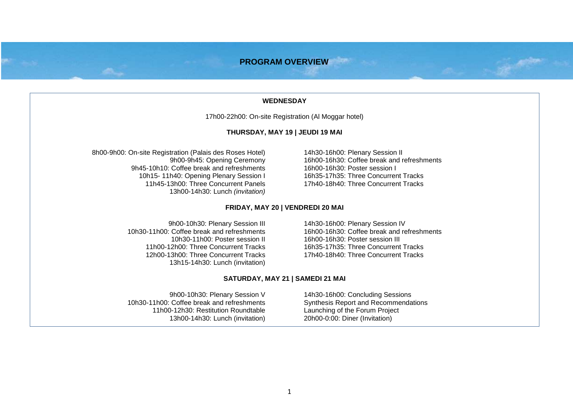# **PROGRAM OVERVIEW**

#### **WEDNESDAY**

17h00-22h00: On-site Registration (Al Moggar hotel)

# **THURSDAY, MAY 19 | JEUDI 19 MAI**

8h00-9h00: On-site Registration (Palais des Roses Hotel) 9h00-9h45: Opening Ceremony 9h45-10h10: Coffee break and refreshments 10h15- 11h40: Opening Plenary Session I 11h45-13h00: Three Concurrent Panels 13h00-14h30: Lunch (invitation)

14h30-16h00: Plenary Session II 16h00-16h30: Coffee break and refreshments 16h00-16h30: Poster session I 16h35-17h35: Three Concurrent Tracks 17h40-18h40: Three Concurrent Tracks

#### **FRIDAY, MAY 20 | VENDREDI 20 MAI**

9h00-10h30: Plenary Session III 10h30-11h00: Coffee break and refreshments 10h30-11h00: Poster session II 11h00-12h00: Three Concurrent Tracks 12h00-13h00: Three Concurrent Tracks 13h15-14h30: Lunch (invitation) 14h30-16h00: Plenary Session IV 16h00-16h30: Coffee break and refreshments 16h00-16h30: Poster session III 16h35-17h35: Three Concurrent Tracks 17h40-18h40: Three Concurrent Tracks

#### **SATURDAY, MAY 21 | SAMEDI 21 MAI**

9h00-10h30: Plenary Session V 10h30-11h00: Coffee break and refreshments 11h00-12h30: Restitution Roundtable 13h00-14h30: Lunch (invitation)

14h30-16h00: Concluding Sessions Synthesis Report and Recommendations Launching of the Forum Project 20h00-0:00: Diner (Invitation)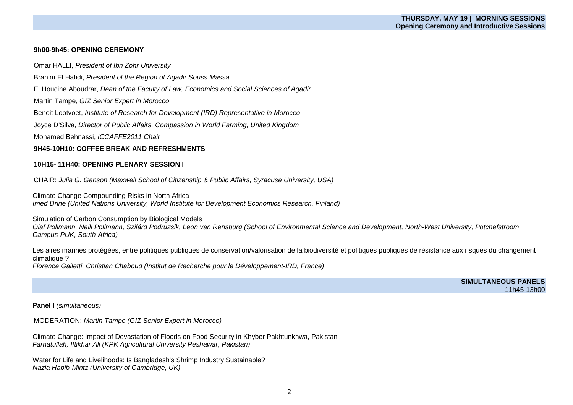## **9h00-9h45: OPENING CEREMONY**

Omar HALLI, President of Ibn Zohr University

Brahim El Hafidi, President of the Region of Agadir Souss Massa

El Houcine Aboudrar, Dean of the Faculty of Law, Economics and Social Sciences of Agadir

Martin Tampe, GIZ Senior Expert in Morocco

Benoit Lootvoet, Institute of Research for Development (IRD) Representative in Morocco

Joyce D'Silva, Director of Public Affairs, Compassion in World Farming, United Kingdom

Mohamed Behnassi, ICCAFFE2011 Chair

# **9H45-10H10: COFFEE BREAK AND REFRESHMENTS**

# **10H15- 11H40: OPENING PLENARY SESSION I**

CHAIR: Julia G. Ganson (Maxwell School of Citizenship & Public Affairs, Syracuse University, USA)

Climate Change Compounding Risks in North Africa Imed Drine (United Nations University, World Institute for Development Economics Research, Finland)

Simulation of Carbon Consumption by Biological Models

 Olaf Pollmann, Nelli Pollmann, Szilárd Podruzsik, Leon van Rensburg (School of Environmental Science and Development, North-West University, Potchefstroom Campus-PUK, South-Africa)

Les aires marines protégées, entre politiques publiques de conservation/valorisation de la biodiversité et politiques publiques de résistance aux risques du changement climatique ?

Florence Galletti, Christian Chaboud (Institut de Recherche pour le Développement-IRD, France)

**SIMULTANEOUS PANELS** 11h45-13h00

#### **Panel I** (simultaneous)

MODERATION: Martin Tampe (GIZ Senior Expert in Morocco)

Climate Change: Impact of Devastation of Floods on Food Security in Khyber Pakhtunkhwa, Pakistan Farhatullah, Iftikhar Ali (KPK Agricultural University Peshawar, Pakistan)

Water for Life and Livelihoods: Is Bangladesh's Shrimp Industry Sustainable? Nazia Habib-Mintz (University of Cambridge, UK)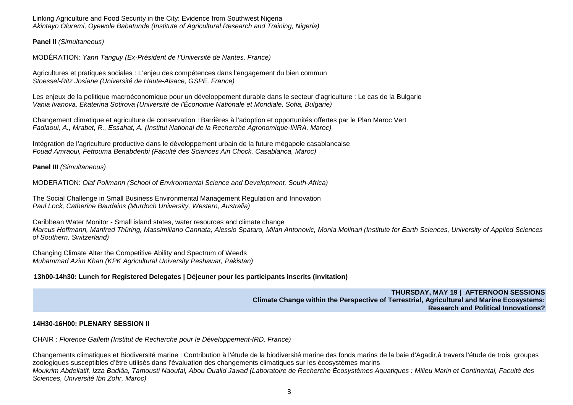Linking Agriculture and Food Security in the City: Evidence from Southwest Nigeria Akintayo Oluremi, Oyewole Babatunde (Institute of Agricultural Research and Training, Nigeria)

**Panel II** (Simultaneous)

MODÉRATION: Yann Tanguy (Ex-Président de l'Université de Nantes, France)

Agricultures et pratiques sociales : L'enjeu des compétences dans l'engagement du bien commun Stoessel-Ritz Josiane (Université de Haute-Alsace, GSPE, France)

Les enjeux de la politique macroéconomique pour un développement durable dans le secteur d'agriculture : Le cas de la Bulgarie Vania Ivanova, Ekaterina Sotirova (Université de l'Économie Nationale et Mondiale, Sofia, Bulgarie)

Changement climatique et agriculture de conservation : Barrières à l'adoption et opportunités offertes par le Plan Maroc Vert Fadlaoui, A., Mrabet, R., Essahat, A. (Institut National de la Recherche Agronomique-INRA, Maroc)

Intégration de l'agriculture productive dans le développement urbain de la future mégapole casablancaise Fouad Amraoui, Fettouma Benabdenbi (Faculté des Sciences Ain Chock. Casablanca, Maroc)

**Panel III** *(Simultaneous)* 

MODERATION: Olaf Pollmann (School of Environmental Science and Development, South-Africa)

The Social Challenge in Small Business Environmental Management Regulation and Innovation Paul Lock, Catherine Baudains (Murdoch University, Western, Australia)

Caribbean Water Monitor - Small island states, water resources and climate change Marcus Hoffmann, Manfred Thüring, Massimiliano Cannata, Alessio Spataro, Milan Antonovic, Monia Molinari (Institute for Earth Sciences, University of Applied Sciences of Southern, Switzerland)

Changing Climate Alter the Competitive Ability and Spectrum of Weeds Muhammad Azim Khan (KPK Agricultural University Peshawar, Pakistan)

# **13h00-14h30: Lunch for Registered Delegates | Déjeuner pour les participants inscrits (invitation)**

**THURSDAY, MAY 19 | AFTERNOON SESSIONS Climate Change within the Perspective of Terrestrial, Agricultural and Marine Ecosystems: Research and Political Innovations?** 

# **14H30-16H00: PLENARY SESSION II**

CHAIR : Florence Galletti (Institut de Recherche pour le Développement-IRD, France)

Changements climatiques et Biodiversité marine : Contribution à l'étude de la biodiversité marine des fonds marins de la baie d'Agadir,à travers l'étude de trois groupes zoologiques susceptibles d'être utilisés dans l'évaluation des changements climatiques sur les écosystèmes marins Moukrim Abdellatif, Izza Badiâa, Tamousti Naoufal, Abou Oualid Jawad (Laboratoire de Recherche Écosystèmes Aquatiques : Milieu Marin et Continental, Faculté des Sciences, Université Ibn Zohr, Maroc)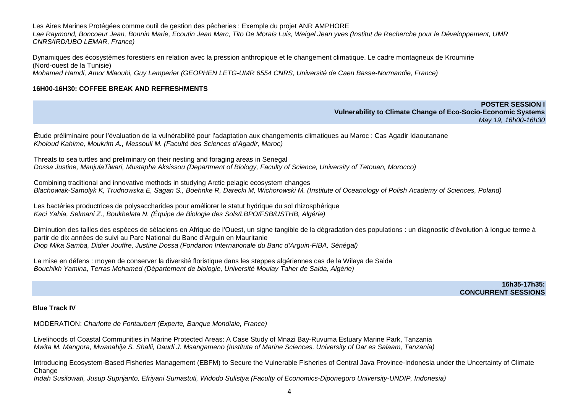Les Aires Marines Protégées comme outil de gestion des pêcheries : Exemple du projet ANR AMPHORE Lae Raymond, Boncoeur Jean, Bonnin Marie, Ecoutin Jean Marc, Tito De Morais Luis, Weigel Jean yves (Institut de Recherche pour le Développement, UMR CNRS/IRD/UBO LEMAR, France)

Dynamiques des écosystèmes forestiers en relation avec la pression anthropique et le changement climatique. Le cadre montagneux de Kroumirie (Nord-ouest de la Tunisie) Mohamed Hamdi, Amor Mlaouhi, Guy Lemperier (GEOPHEN LETG-UMR 6554 CNRS, Université de Caen Basse-Normandie, France)

# **16H00-16H30: COFFEE BREAK AND REFRESHMENTS**

# **POSTER SESSION I Vulnerability to Climate Change of Eco-Socio-Economic Systems** May 19, 16h00-16h30

Étude préliminaire pour l'évaluation de la vulnérabilité pour l'adaptation aux changements climatiques au Maroc : Cas Agadir Idaoutanane Kholoud Kahime, Moukrim A., Messouli M. (Faculté des Sciences d'Agadir, Maroc)

Threats to sea turtles and preliminary on their nesting and foraging areas in Senegal Dossa Justine, ManjulaTiwari, Mustapha Aksissou (Department of Biology, Faculty of Science, University of Tetouan, Morocco)

Combining traditional and innovative methods in studying Arctic pelagic ecosystem changesBlachowiak-Samolyk K, Trudnowska E, Sagan S., Boehnke R, Darecki M, Wichorowski M. (Institute of Oceanology of Polish Academy of Sciences, Poland)

Les bactéries productrices de polysaccharides pour améliorer le statut hydrique du sol rhizosphérique Kaci Yahia, Selmani Z., Boukhelata N. (Équipe de Biologie des Sols/LBPO/FSB/USTHB, Algérie)

Diminution des tailles des espèces de sélaciens en Afrique de l'Ouest, un signe tangible de la dégradation des populations : un diagnostic d'évolution à longue terme à partir de dix années de suivi au Parc National du Banc d'Arguin en Mauritanie Diop Mika Samba, Didier Jouffre, Justine Dossa (Fondation Internationale du Banc d'Arguin-FIBA, Sénégal)

La mise en défens : moyen de conserver la diversité floristique dans les steppes algériennes cas de la Wilaya de Saida Bouchikh Yamina, Terras Mohamed (Département de biologie, Université Moulay Taher de Saida, Algérie)

> **16h35-17h35: CONCURRENT SESSIONS**

#### **Blue Track IV**

MODERATION: Charlotte de Fontaubert (Experte, Banque Mondiale, France)

Livelihoods of Coastal Communities in Marine Protected Areas: A Case Study of Mnazi Bay-Ruvuma Estuary Marine Park, Tanzania Mwita M. Mangora, Mwanahija S. Shalli, Daudi J. Msangameno (Institute of Marine Sciences, University of Dar es Salaam, Tanzania)

Introducing Ecosystem-Based Fisheries Management (EBFM) to Secure the Vulnerable Fisheries of Central Java Province-Indonesia under the Uncertainty of Climate Change

Indah Susilowati, Jusup Suprijanto, Efriyani Sumastuti, Widodo Sulistya (Faculty of Economics-Diponegoro University-UNDIP, Indonesia)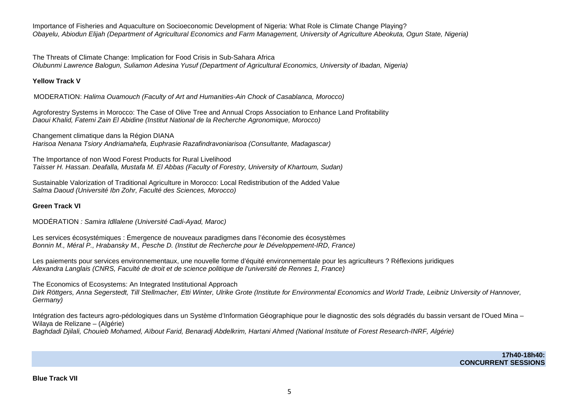Importance of Fisheries and Aquaculture on Socioeconomic Development of Nigeria: What Role is Climate Change Playing? Obayelu, Abiodun Elijah (Department of Agricultural Economics and Farm Management, University of Agriculture Abeokuta, Ogun State, Nigeria)

The Threats of Climate Change: Implication for Food Crisis in Sub-Sahara Africa Olubunmi Lawrence Balogun, Suliamon Adesina Yusuf (Department of Agricultural Economics, University of Ibadan, Nigeria)

## **Yellow Track V**

MODERATION: Halima Ouamouch (Faculty of Art and Humanities-Ain Chock of Casablanca, Morocco)

Agroforestry Systems in Morocco: The Case of Olive Tree and Annual Crops Association to Enhance Land Profitability Daoui Khalid, Fatemi Zain El Abidine (Institut National de la Recherche Agronomique, Morocco)

Changement climatique dans la Région DIANA Harisoa Nenana Tsiory Andriamahefa, Euphrasie Razafindravoniarisoa (Consultante, Madagascar)

The Importance of non Wood Forest Products for Rural Livelihood Taisser H. Hassan. Deafalla, Mustafa M. El Abbas (Faculty of Forestry, University of Khartoum, Sudan)

Sustainable Valorization of Traditional Agriculture in Morocco: Local Redistribution of the Added Value Salma Daoud (Université Ibn Zohr, Faculté des Sciences, Morocco)

# **Green Track VI**

MODÉRATION : Samira Idllalene (Université Cadi-Ayad, Maroc)

Les services écosystémiques : Émergence de nouveaux paradigmes dans l'économie des écosystèmes Bonnin M., Méral P., Hrabansky M., Pesche D. (Institut de Recherche pour le Développement-IRD, France)

Les paiements pour services environnementaux, une nouvelle forme d'équité environnementale pour les agriculteurs ? Réflexions juridiques Alexandra Langlais (CNRS, Faculté de droit et de science politique de l'université de Rennes 1, France)

The Economics of Ecosystems: An Integrated Institutional Approach

 Dirk Röttgers, Anna Segerstedt, Till Stellmacher, Etti Winter, Ulrike Grote (Institute for Environmental Economics and World Trade, Leibniz University of Hannover, Germany)

Intégration des facteurs agro-pédologiques dans un Système d'Information Géographique pour le diagnostic des sols dégradés du bassin versant de l'Oued Mina – Wilaya de Relizane – (Algérie) Baghdadi Djilali, Chouieb Mohamed, Aïbout Farid, Benaradj Abdelkrim, Hartani Ahmed (National Institute of Forest Research-INRF, Algérie)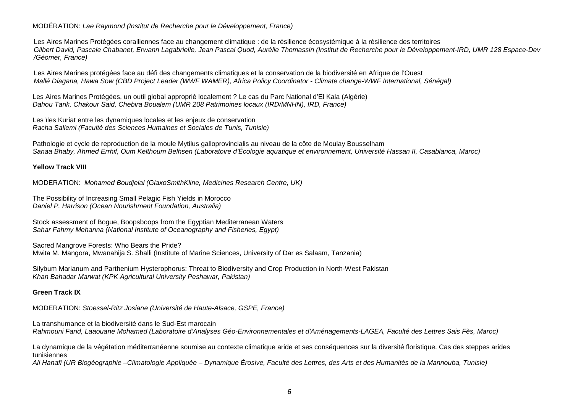# MODÉRATION: Lae Raymond (Institut de Recherche pour le Développement, France)

Les Aires Marines Protégées coralliennes face au changement climatique : de la résilience écosystémique à la résilience des territoires Gilbert David, Pascale Chabanet, Erwann Lagabrielle, Jean Pascal Quod, Aurélie Thomassin (Institut de Recherche pour le Développement-IRD, UMR 128 Espace-Dev /Géomer, France)

Les Aires Marines protégées face au défi des changements climatiques et la conservation de la biodiversité en Afrique de l'Ouest Mallé Diagana, Hawa Sow (CBD Project Leader (WWF WAMER), Africa Policy Coordinator - Climate change-WWF International, Sénégal)

Les Aires Marines Protégées, un outil global approprié localement ? Le cas du Parc National d'El Kala (Algérie) Dahou Tarik, Chakour Said, Chebira Boualem (UMR 208 Patrimoines locaux (IRD/MNHN), IRD, France)

Les ïles Kuriat entre les dynamiques locales et les enjeux de conservation Racha Sallemi (Faculté des Sciences Humaines et Sociales de Tunis, Tunisie)

Pathologie et cycle de reproduction de la moule Mytilus galloprovincialis au niveau de la côte de Moulay Bousselham Sanaa Bhaby, Ahmed Errhif, Oum Kelthoum Belhsen (Laboratoire d'Écologie aquatique et environnement, Université Hassan II, Casablanca, Maroc)

## **Yellow Track VIII**

MODERATION: Mohamed Boudjelal (GlaxoSmithKline, Medicines Research Centre, UK)

The Possibility of Increasing Small Pelagic Fish Yields in Morocco Daniel P. Harrison (Ocean Nourishment Foundation, Australia)

Stock assessment of Bogue, Boopsboops from the Egyptian Mediterranean Waters Sahar Fahmy Mehanna (National Institute of Oceanography and Fisheries, Egypt)

Sacred Mangrove Forests: Who Bears the Pride? Mwita M. Mangora, Mwanahija S. Shalli (Institute of Marine Sciences, University of Dar es Salaam, Tanzania)

Silybum Marianum and Parthenium Hysterophorus: Threat to Biodiversity and Crop Production in North-West Pakistan Khan Bahadar Marwat (KPK Agricultural University Peshawar, Pakistan)

# **Green Track IX**

MODERATION: Stoessel-Ritz Josiane (Université de Haute-Alsace, GSPE, France)

La transhumance et la biodiversité dans le Sud-Est marocain Rahmouni Farid, Laaouane Mohamed (Laboratoire d'Analyses Géo-Environnementales et d'Aménagements-LAGEA, Faculté des Lettres Sais Fès, Maroc)

La dynamique de la végétation méditerranéenne soumise au contexte climatique aride et ses conséquences sur la diversité floristique. Cas des steppes arides tunisiennes

Ali Hanafi (UR Biogéographie –Climatologie Appliquée – Dynamique Érosive, Faculté des Lettres, des Arts et des Humanités de la Mannouba, Tunisie)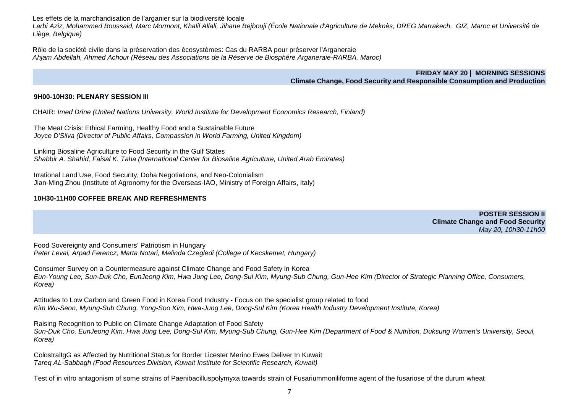Les effets de la marchandisation de l'arganier sur la biodiversité locale

 Larbi Aziz, Mohammed Boussaid, Marc Mormont, Khalil Allali, Jihane Bejbouji (École Nationale d'Agriculture de Meknès, DREG Marrakech, GIZ, Maroc et Université de Liège, Belgique)

Rôle de la société civile dans la préservation des écosystèmes: Cas du RARBA pour préserver l'Arganeraie Ahjam Abdellah, Ahmed Achour (Réseau des Associations de la Réserve de Biosphére Arganeraie-RARBA, Maroc)

> **FRIDAY MAY 20 | MORNING SESSIONS Climate Change, Food Security and Responsible Consumption and Production**

# **9H00-10H30: PLENARY SESSION III**

CHAIR: Imed Drine (United Nations University, World Institute for Development Economics Research, Finland)

The Meat Crisis: Ethical Farming, Healthy Food and a Sustainable Future Joyce D'Silva (Director of Public Affairs, Compassion in World Farming, United Kingdom)

Linking Biosaline Agriculture to Food Security in the Gulf States Shabbir A. Shahid, Faisal K. Taha (International Center for Biosaline Agriculture, United Arab Emirates)

Irrational Land Use, Food Security, Doha Negotiations, and Neo-Colonialism Jian-Ming Zhou (Institute of Agronomy for the Overseas-IAO, Ministry of Foreign Affairs, Italy)

# **10H30-11H00 COFFEE BREAK AND REFRESHMENTS**

**POSTER SESSION II Climate Change and Food Security** May 20, 10h30-11h00

Food Sovereignty and Consumers' Patriotism in Hungary Peter Levai, Arpad Ferencz, Marta Notari, Melinda Czegledi (College of Kecskemet, Hungary)

Consumer Survey on a Countermeasure against Climate Change and Food Safety in Korea Eun-Young Lee, Sun-Duk Cho, EunJeong Kim, Hwa Jung Lee, Dong-Sul Kim, Myung-Sub Chung, Gun-Hee Kim (Director of Strategic Planning Office, Consumers, Korea)

Attitudes to Low Carbon and Green Food in Korea Food Industry - Focus on the specialist group related to food Kim Wu-Seon, Myung-Sub Chung, Yong-Soo Kim, Hwa-Jung Lee, Dong-Sul Kim (Korea Health Industry Development Institute, Korea)

Raising Recognition to Public on Climate Change Adaptation of Food Safety Sun-Duk Cho, EunJeong Kim, Hwa Jung Lee, Dong-Sul Kim, Myung-Sub Chung, Gun-Hee Kim (Department of Food & Nutrition, Duksung Women's University, Seoul, Korea)

ColostralIgG as Affected by Nutritional Status for Border Licester Merino Ewes Deliver In Kuwait Tareq AL-Sabbagh (Food Resources Division, Kuwait Institute for Scientific Research, Kuwait)

Test of in vitro antagonism of some strains of Paenibacilluspolymyxa towards strain of Fusariummoniliforme agent of the fusariose of the durum wheat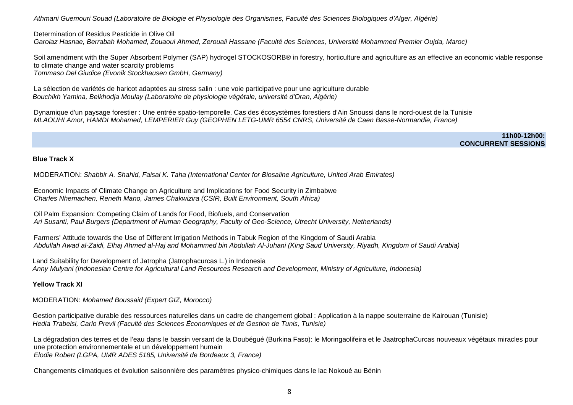Athmani Guemouri Souad (Laboratoire de Biologie et Physiologie des Organismes, Faculté des Sciences Biologiques d'Alger, Algérie)

Determination of Residus Pesticide in Olive Oil Garoiaz Hasnae, Berrabah Mohamed, Zouaoui Ahmed, Zerouali Hassane (Faculté des Sciences, Université Mohammed Premier Oujda, Maroc)

Soil amendment with the Super Absorbent Polymer (SAP) hydrogel STOCKOSORB® in forestry, horticulture and agriculture as an effective an economic viable response to climate change and water scarcity problems Tommaso Del Giudice (Evonik Stockhausen GmbH, Germany)

La sélection de variétés de haricot adaptées au stress salin : une voie participative pour une agriculture durable Bouchikh Yamina, Belkhodja Moulay (Laboratoire de physiologie végétale, université d'Oran, Algérie)

Dynamique d'un paysage forestier : Une entrée spatio-temporelle. Cas des écosystèmes forestiers d'Ain Snoussi dans le nord-ouest de la Tunisie MLAOUHI Amor, HAMDI Mohamed, LEMPERIER Guy (GEOPHEN LETG-UMR 6554 CNRS, Université de Caen Basse-Normandie, France)

> **11h00-12h00: CONCURRENT SESSIONS**

#### **Blue Track X**

MODERATION: Shabbir A. Shahid, Faisal K. Taha (International Center for Biosaline Agriculture, United Arab Emirates)

Economic Impacts of Climate Change on Agriculture and Implications for Food Security in Zimbabwe Charles Nhemachen, Reneth Mano, James Chakwizira (CSIR, Built Environment, South Africa)

Oil Palm Expansion: Competing Claim of Lands for Food, Biofuels, and Conservation Ari Susanti, Paul Burgers (Department of Human Geography, Faculty of Geo-Science, Utrecht University, Netherlands)

Farmers' Attitude towards the Use of Different Irrigation Methods in Tabuk Region of the Kingdom of Saudi Arabia Abdullah Awad al-Zaidi, Elhaj Ahmed al-Haj and Mohammed bin Abdullah Al-Juhani (King Saud University, Riyadh, Kingdom of Saudi Arabia)

Land Suitability for Development of Jatropha (Jatrophacurcas L.) in Indonesia Anny Mulyani (Indonesian Centre for Agricultural Land Resources Research and Development, Ministry of Agriculture, Indonesia)

# **Yellow Track XI**

MODERATION: Mohamed Boussaid (Expert GIZ, Morocco)

Gestion participative durable des ressources naturelles dans un cadre de changement global : Application à la nappe souterraine de Kairouan (Tunisie) Hedia Trabelsi, Carlo Previl (Faculté des Sciences Économiques et de Gestion de Tunis, Tunisie)

La dégradation des terres et de l'eau dans le bassin versant de la Doubégué (Burkina Faso): le Moringaolifeira et le JaatrophaCurcas nouveaux végétaux miracles pour une protection environnementale et un développement humain Elodie Robert (LGPA, UMR ADES 5185, Université de Bordeaux 3, France)

Changements climatiques et évolution saisonnière des paramètres physico-chimiques dans le lac Nokoué au Bénin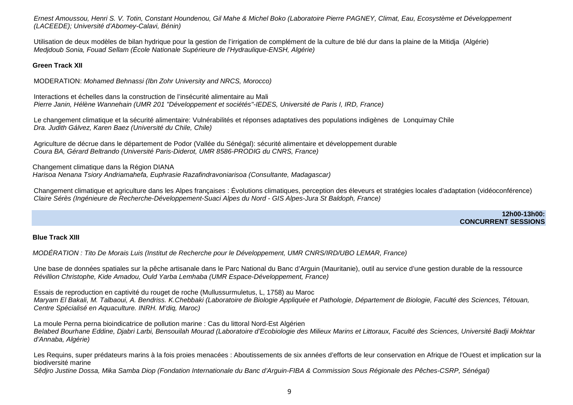Ernest Amoussou, Henri S. V. Totin, Constant Houndenou, Gil Mahe & Michel Boko (Laboratoire Pierre PAGNEY, Climat, Eau, Ecosystème et Développement (LACEEDE); Université d'Abomey-Calavi, Bénin)

Utilisation de deux modèles de bilan hydrique pour la gestion de l'irrigation de complément de la culture de blé dur dans la plaine de la Mitidja (Algérie)<br>Medidoub Sonia, Fouad Sellam (École Nationale Supérieure de l'Hydr

## **Green Track XII**

MODERATION: Mohamed Behnassi (Ibn Zohr University and NRCS, Morocco)

Interactions et échelles dans la construction de l'insécurité alimentaire au Mali Pierre Janin, Hélène Wannehain (UMR 201 "Développement et sociétés"-IEDES, Université de Paris I, IRD, France)

Le changement climatique et la sécurité alimentaire: Vulnérabilités et réponses adaptatives des populations indigènes de Lonquimay Chile Dra. Judith Gálvez, Karen Baez (Université du Chile, Chile)

Agriculture de décrue dans le département de Podor (Vallée du Sénégal): sécurité alimentaire et développement durable Coura BA, Gérard Beltrando (Université Paris-Diderot, UMR 8586-PRODIG du CNRS, France)

Changement climatique dans la Région DIANA Harisoa Nenana Tsiory Andriamahefa, Euphrasie Razafindravoniarisoa (Consultante, Madagascar)

Changement climatique et agriculture dans les Alpes françaises : Évolutions climatiques, perception des éleveurs et stratégies locales d'adaptation (vidéoconférence) Claire Sérès (Ingénieure de Recherche-Développement-Suaci Alpes du Nord - GIS Alpes-Jura St Baldoph, France)

> **12h00-13h00: CONCURRENT SESSIONS**

#### **Blue Track XIII**

MODÉRATION : Tito De Morais Luis (Institut de Recherche pour le Développement, UMR CNRS/IRD/UBO LEMAR, France)

Une base de données spatiales sur la pêche artisanale dans le Parc National du Banc d'Arguin (Mauritanie), outil au service d'une gestion durable de la ressource Révillion Christophe, Kide Amadou, Ould Yarba Lemhaba (UMR Espace-Développement, France)

Essais de reproduction en captivité du rouget de roche (Mullussurmuletus, L, 1758) au Maroc Maryam El Bakali, M. Talbaoui, A. Bendriss. K.Chebbaki (Laboratoire de Biologie Appliquée et Pathologie, Département de Biologie, Faculté des Sciences, Tétouan, Centre Spécialisé en Aquaculture. INRH. M'diq, Maroc)

La moule Perna perna bioindicatrice de pollution marine : Cas du littoral Nord-Est Algérien Belabed Bourhane Eddine, Djabri Larbi, Bensouilah Mourad (Laboratoire d'Ecobiologie des Milieux Marins et Littoraux, Faculté des Sciences, Université Badji Mokhtar d'Annaba, Algérie)

Les Requins, super prédateurs marins à la fois proies menacées : Aboutissements de six années d'efforts de leur conservation en Afrique de l'Ouest et implication sur la biodiversité marine

Sêdjro Justine Dossa, Mika Samba Diop (Fondation Internationale du Banc d'Arguin-FIBA & Commission Sous Régionale des Pêches-CSRP, Sénégal)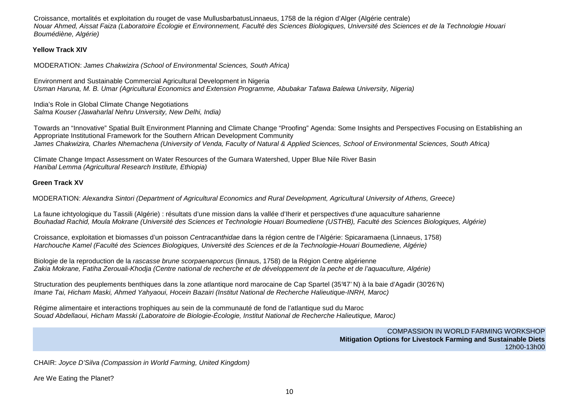Croissance, mortalités et exploitation du rouget de vase MullusbarbatusLinnaeus, 1758 de la région d'Alger (Algérie centrale)<br>Nouar Ahmed, Aissat Faiza (Laboratoire Écologie et Environnement, Faculté des Sciences Biologiqu Boumédiène, Algérie)

# **Yellow Track XIV**

MODERATION: James Chakwizira (School of Environmental Sciences, South Africa)

Environment and Sustainable Commercial Agricultural Development in Nigeria Usman Haruna, M. B. Umar (Agricultural Economics and Extension Programme, Abubakar Tafawa Balewa University, Nigeria)

India's Role in Global Climate Change Negotiations Salma Kouser (Jawaharlal Nehru University, New Delhi, India)

Towards an "Innovative" Spatial Built Environment Planning and Climate Change "Proofing" Agenda: Some Insights and Perspectives Focusing on Establishing an Appropriate Institutional Framework for the Southern African Development Community James Chakwizira, Charles Nhemachena (University of Venda, Faculty of Natural & Applied Sciences, School of Environmental Sciences, South Africa)

Climate Change Impact Assessment on Water Resources of the Gumara Watershed, Upper Blue Nile River Basin Hanibal Lemma (Agricultural Research Institute, Ethiopia)

# **Green Track XV**

MODERATION: Alexandra Sintori (Department of Agricultural Economics and Rural Development, Agricultural University of Athens, Greece)

La faune ichtyologique du Tassili (Algérie) : résultats d'une mission dans la vallée d'Iherir et perspectives d'une aquaculture saharienne Bouhadad Rachid, Moula Mokrane (Université des Sciences et Technologie Houari Boumediene (USTHB), Faculté des Sciences Biologiques, Algérie)

Croissance, exploitation et biomasses d'un poisson Centracanthidae dans la région centre de l'Algérie: Spicaramaena (Linnaeus, 1758) Harchouche Kamel (Faculté des Sciences Biologiques, Université des Sciences et de la Technologie-Houari Boumediene, Algérie)

Biologie de la reproduction de la rascasse brune scorpaenaporcus (linnaus, 1758) de la Région Centre algérienne Zakia Mokrane, Fatiha Zerouali-Khodja (Centre national de recherche et de développement de la peche et de l'aquaculture, Algérie)

Structuration des peuplements benthiques dans la zone atlantique nord marocaine de Cap Spartel (35°47' N) à la baie d'Agadir (30°26'N) Imane Tai, Hicham Maski, Ahmed Yahyaoui, Hocein Bazairi (Institut National de Recherche Halieutique-INRH, Maroc)

Régime alimentaire et interactions trophiques au sein de la communauté de fond de l'atlantique sud du Maroc Souad Abdellaoui, Hicham Masski (Laboratoire de Biologie-Écologie, Institut National de Recherche Halieutique, Maroc)

> COMPASSION IN WORLD FARMING WORKSHOP **Mitigation Options for Livestock Farming and Sustainable Diets** 12h00-13h00

CHAIR: Joyce D'Silva (Compassion in World Farming, United Kingdom)

Are We Eating the Planet?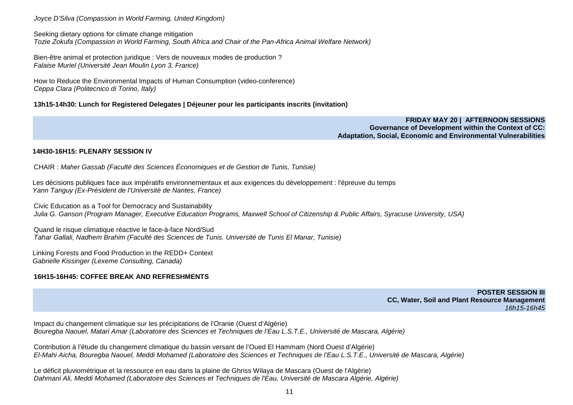Joyce D'Silva (Compassion in World Farming, United Kingdom)

Seeking dietary options for climate change mitigation

Tozie Zokufa (Compassion in World Farming, South Africa and Chair of the Pan-Africa Animal Welfare Network)

Bien-être animal et protection juridique : Vers de nouveaux modes de production ? Falaise Muriel (Université Jean Moulin Lyon 3, France)

How to Reduce the Environmental Impacts of Human Consumption (video-conference) Ceppa Clara (Politecnico di Torino, Italy)

## **13h15-14h30: Lunch for Registered Delegates | Déjeuner pour les participants inscrits (invitation)**

**FRIDAY MAY 20 | AFTERNOON SESSIONS Governance of Development within the Context of CC:Adaptation, Social, Economic and Environmental Vulnerabilities** 

#### **14H30-16H15: PLENARY SESSION IV**

CHAIR : Maher Gassab (Faculté des Sciences Économiques et de Gestion de Tunis, Tunisie)

Les décisions publiques face aux impératifs environnementaux et aux exigences du développement : l'épreuve du temps Yann Tanguy (Ex-Président de l'Université de Nantes, France)

Civic Education as a Tool for Democracy and Sustainability Julia G. Ganson (Program Manager, Executive Education Programs, Maxwell School of Citizenship & Public Affairs, Syracuse University, USA)

Quand le risque climatique réactive le face-à-face Nord/Sud Tahar Gallali, Nadhem Brahim (Faculté des Sciences de Tunis. Université de Tunis El Manar, Tunisie)

Linking Forests and Food Production in the REDD+ Context Gabrielle Kissinger (Lexeme Consulting, Canada)

# **16H15-16H45: COFFEE BREAK AND REFRESHMENTS**

**POSTER SESSION III CC, Water, Soil and Plant Resource Management** 16h15-16h45

Impact du changement climatique sur les précipitations de l'Oranie (Ouest d'Algérie)Bouregba Naouel, Matari Amar (Laboratoire des Sciences et Techniques de l'Eau L.S.T.E., Université de Mascara, Algérie)

Contribution à l'étude du changement climatique du bassin versant de l'Oued El Hammam (Nord Ouest d'Algérie)El-Mahi Aicha, Bouregba Naouel, Meddi Mohamed (Laboratoire des Sciences et Techniques de l'Eau L.S.T.E., Université de Mascara, Algérie)

Le déficit pluviométrique et la ressource en eau dans la plaine de Ghriss Wilaya de Mascara (Ouest de l'Algérie) Dahmani Ali, Meddi Mohamed (Laboratoire des Sciences et Techniques de l'Eau, Université de Mascara Algérie, Algérie)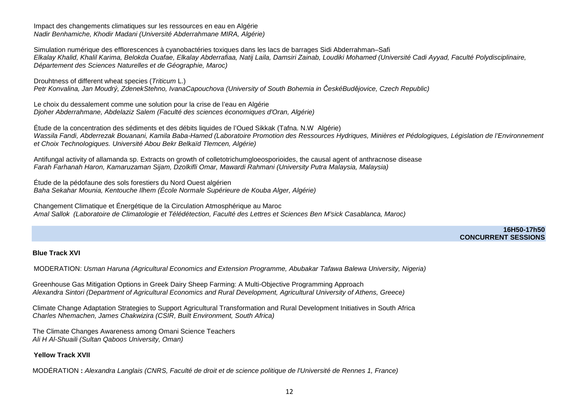Impact des changements climatiques sur les ressources en eau en Algérie Nadir Benhamiche, Khodir Madani (Université Abderrahmane MIRA, Algérie)

Simulation numérique des efflorescences à cyanobactéries toxiques dans les lacs de barrages Sidi Abderrahman–Safi Elkalay Khalid, Khalil Karima, Belokda Ouafae, Elkalay Abderrafiaa, Natij Laila, Damsiri Zainab, Loudiki Mohamed (Université Cadi Ayyad, Faculté Polydisciplinaire, Département des Sciences Naturelles et de Géographie, Maroc)

Drouhtness of different wheat species (Triticum L.) Petr Konvalina, Jan Moudrý, ZdenekStehno, IvanaCapouchova (University of South Bohemia in *Č*eskéBud*ě*jovice, Czech Republic)

Le choix du dessalement comme une solution pour la crise de l'eau en Algérie Djoher Abderrahmane, Abdelaziz Salem (Faculté des sciences économiques d'Oran, Algérie)

Étude de la concentration des sédiments et des débits liquides de l'Oued Sikkak (Tafna. N.W Algérie) Wassila Fandi, Abderrezak Bouanani, Kamila Baba-Hamed (Laboratoire Promotion des Ressources Hydriques, Minières et Pédologiques, Législation de l'Environnement et Choix Technologiques. Université Abou Bekr Belkaïd Tlemcen, Algérie)

Antifungal activity of allamanda sp. Extracts on growth of colletotrichumgloeosporioides, the causal agent of anthracnose disease Farah Farhanah Haron, Kamaruzaman Sijam, Dzolkifli Omar, Mawardi Rahmani (University Putra Malaysia, Malaysia)

Étude de la pédofaune des sols forestiers du Nord Ouest algérien<br>*Baha Sekahar Mounia, Kentouche Ilhem (École Normale Supérieure de Kouba Alger, Algérie)* 

Changement Climatique et Énergétique de la Circulation Atmosphérique au Maroc Amal Sallok (Laboratoire de Climatologie et Télédétection, Faculté des Lettres et Sciences Ben M'sick Casablanca, Maroc)

> **16H50-17h50 CONCURRENT SESSIONS**

# **Blue Track XVI**

MODERATION: Usman Haruna (Agricultural Economics and Extension Programme, Abubakar Tafawa Balewa University, Nigeria)

Greenhouse Gas Mitigation Options in Greek Dairy Sheep Farming: A Multi-Objective Programming ApproachAlexandra Sintori (Department of Agricultural Economics and Rural Development, Agricultural University of Athens, Greece)

Climate Change Adaptation Strategies to Support Agricultural Transformation and Rural Development Initiatives in South Africa Charles Nhemachen, James Chakwizira (CSIR, Built Environment, South Africa)

The Climate Changes Awareness among Omani Science Teachers Ali H Al-Shuaili (Sultan Qaboos University, Oman)

# **Yellow Track XVII**

MODÉRATION **:** Alexandra Langlais (CNRS, Faculté de droit et de science politique de l'Université de Rennes 1, France)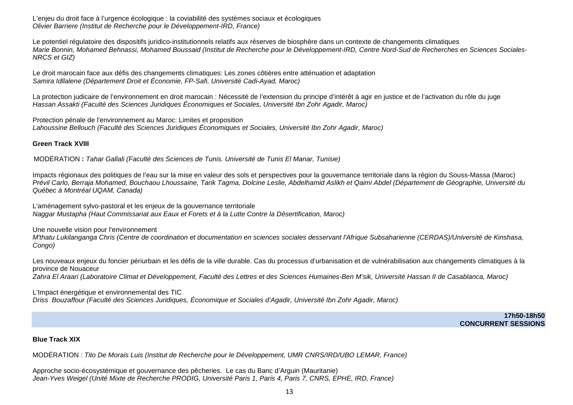L'enjeu du droit face à l'urgence écologique : la coviabilité des systèmes sociaux et écologiques Olivier Barriere (Institut de Recherche pour le Développement-IRD, France)

Le potentiel régulatoire des dispositifs juridico-institutionnels relatifs aux réserves de biosphère dans un contexte de changements climatiques Marie Bonnin, Mohamed Behnassi, Mohamed Boussaid (Institut de Recherche pour le Développement-IRD, Centre Nord-Sud de Recherches en Sciences Sociales-NRCS et GIZ)

Le droit marocain face aux défis des changements climatiques: Les zones côtières entre atténuation et adaptation<br>Samira Idllalene (Département Droit et Économie, FP-Safi, Université Cadi-Ayad, Maroc)

La protection judicaire de l'environnement en droit marocain : Nécessité de l'extension du principe d'intérêt à agir en justice et de l'activation du rôle du juge<br>Hassan Assakti (Faculté des Sciences Juridiques Économiques

Protection pénale de l'environnement au Maroc: Limites et proposition Lahoussine Bellouch (Faculté des Sciences Juridiques Économiques et Sociales, Université Ibn Zohr Agadir, Maroc)

## **Green Track XVIII**

MODÉRATION **:** Tahar Gallali (Faculté des Sciences de Tunis. Université de Tunis El Manar, Tunisie)

Impacts régionaux des politiques de l'eau sur la mise en valeur des sols et perspectives pour la gouvernance territoriale dans la région du Souss-Massa (Maroc) Prévil Carlo, Berraja Mohamed, Bouchaou Lhoussaine, Tarik Tagma, Dolcine Leslie, Abdelhamid Aslikh et Qaimi Abdel (Département de Géographie, Université du Québec à Montréal UQAM, Canada)

L'aménagement sylvo-pastoral et les enjeux de la gouvernance territoriale Naggar Mustapha (Haut Commissariat aux Eaux et Forets et à la Lutte Contre la Désertification, Maroc)

Une nouvelle vision pour l'environnement

 M'thatu Lukilanganga Chris (Centre de coordination et documentation en sciences sociales desservant l'Afrique Subsaharienne (CERDAS)/Université de Kinshasa, Congo)

Les nouveaux enjeux du foncier périurbain et les défis de la ville durable. Cas du processus d'urbanisation et de vulnérabilisation aux changements climatiques à la province de Nouaceur Zahra El Araari (Laboratoire Climat et Développement, Faculté des Lettres et des Sciences Humaines-Ben M'sik, Université Hassan II de Casablanca, Maroc)

L'Impact énergétique et environnemental des TIC Driss Bouzaffour (Faculté des Sciences Juridiques, Économique et Sociales d'Agadir, Université Ibn Zohr Agadir, Maroc)

> **17h50-18h50 CONCURRENT SESSIONS**

#### **Blue Track XIX**

MODÉRATION : Tito De Morais Luis (Institut de Recherche pour le Développement, UMR CNRS/IRD/UBO LEMAR, France)

Approche socio-écosystémique et gouvernance des pêcheries. Le cas du Banc d'Arguin (Mauritanie) Jean-Yves Weigel (Unité Mixte de Recherche PRODIG, Université Paris 1, Paris 4, Paris 7, CNRS, EPHE, IRD, France)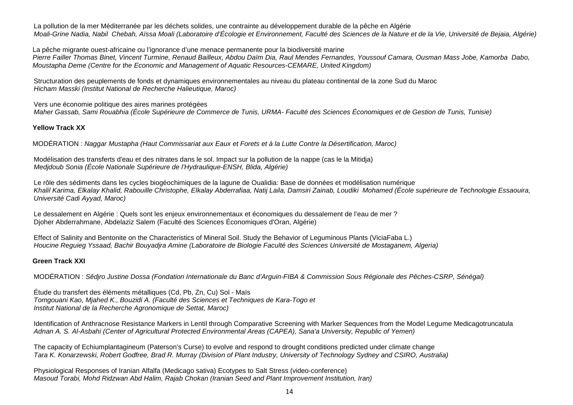La pollution de la mer Méditerranée par les déchets solides, une contrainte au développement durable de la pêche en Algérie Moali-Grine Nadia, Nabil Chebah, Aïssa Moali (Laboratoire d'Écologie et Environnement, Faculté des Sciences de la Nature et de la Vie, Université de Bejaia, Algérie)

La pêche migrante ouest-africaine ou l'ignorance d'une menace permanente pour la biodiversité marine Pierre Failler Thomas Binet, Vincent Turmine, Renaud Bailleux, Abdou Daïm Dia, Raul Mendes Fernandes, Youssouf Camara, Ousman Mass Jobe, Kamorba Dabo, Moustapha Deme (Centre for the Economic and Management of Aquatic Resources-CEMARE, United Kingdom)

Structuration des peuplements de fonds et dynamiques environnementales au niveau du plateau continental de la zone Sud du Maroc Hicham Masski (Institut National de Recherche Halieutique, Maroc)

Vers une économie politique des aires marines protégées<br>Maher Gassab, Sami Rouabhia (École Supérieure de Commerce de Tunis, URMA- Faculté des Sciences Économiques et de Gestion de Tunis, Tunisie)

# **Yellow Track XX**

MODÉRATION : Naggar Mustapha (Haut Commissariat aux Eaux et Forets et à la Lutte Contre la Désertification, Maroc)

Modélisation des transferts d'eau et des nitrates dans le sol. Impact sur la pollution de la nappe (cas le la Mitidja) Medjdoub Sonia (École Nationale Supérieure de l'Hydraulique-ENSH, Blida, Algérie)

Le rôle des sédiments dans les cycles biogéochimiques de la lagune de Oualidia: Base de données et modélisation numérique Khalil Karima, Elkalay Khalid, Rabouille Christophe, Elkalay Abderrafiaa, Natij Laila, Damsiri Zainab, Loudiki Mohamed (École supérieure de Technologie Essaouira, Université Cadi Ayyad, Maroc)

Le dessalement en Algérie : Quels sont les enjeux environnementaux et économiques du dessalement de l'eau de mer ? Djoher Abderrahmane, Abdelaziz Salem (Faculté des Sciences Économiques d'Oran, Algérie)

Effect of Salinity and Bentonite on the Characteristics of Mineral Soil. Study the Behavior of Leguminous Plants (ViciaFaba L.) Houcine Reguieg Yssaad, Bachir Bouyadjra Amine (Laboratoire de Biologie Faculté des Sciences Université de Mostaganem, Algeria)

# **Green Track XXI**

MODÉRATION : Sêdjro Justine Dossa (Fondation Internationale du Banc d'Arguin-FIBA & Commission Sous Régionale des Pêches-CSRP, Sénégal)

Étude du transfert des éléments métalliques (Cd, Pb, Zn, Cu) Sol - Maïs Tomgouani Kao, Mjahed K., Bouzidi A. (Faculté des Sciences et Techniques de Kara-Togo et Institut National de la Recherche Agronomique de Settat, Maroc)

Identification of Anthracnose Resistance Markers in Lentil through Comparative Screening with Marker Sequences from the Model Legume Medicagotruncatula Adnan A. S. Al-Asbahi (Center of Agricultural Protected Environmental Areas (CAPEA), Sana'a University, Republic of Yemen)

The capacity of Echiumplantagineum (Paterson's Curse) to evolve and respond to drought conditions predicted under climate change Tara K. Konarzewski, Robert Godfree, Brad R. Murray (Division of Plant Industry, University of Technology Sydney and CSIRO, Australia)

Physiological Responses of Iranian Alfalfa (Medicago sativa) Ecotypes to Salt Stress (video-conference) Masoud Torabi, Mohd Ridzwan Abd Halim, Rajab Chokan (Iranian Seed and Plant Improvement Institution, Iran)